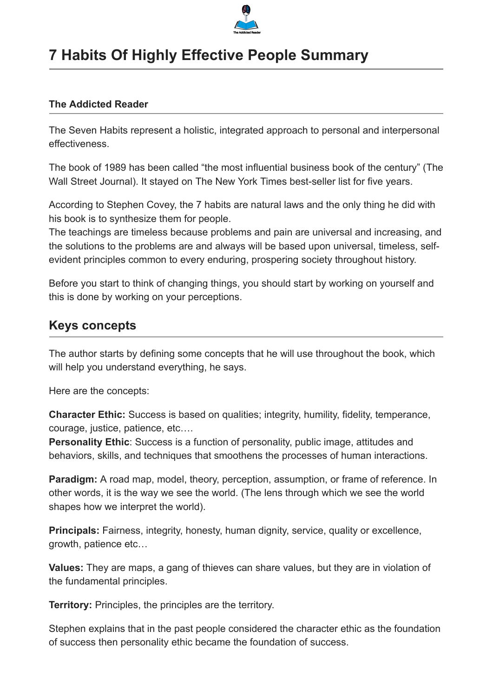

# **7 Habits Of Highly Effective People Summary**

### **The Addicted Reader**

The Seven Habits represent a holistic, integrated approach to personal and interpersonal effectiveness.

The book of 1989 has been called "the most influential business book of the century" (The Wall Street Journal). It stayed on The New York Times best-seller list for five years.

According to Stephen Covey, the 7 habits are natural laws and the only thing he did with his book is to synthesize them for people.

The teachings are timeless because problems and pain are universal and increasing, and the solutions to the problems are and always will be based upon universal, timeless, selfevident principles common to every enduring, prospering society throughout history.

Before you start to think of changing things, you should start by working on yourself and this is done by working on your perceptions.

# **Keys concepts**

The author starts by defining some concepts that he will use throughout the book, which will help you understand everything, he says.

Here are the concepts:

**Character Ethic:** Success is based on qualities; integrity, humility, fidelity, temperance, courage, justice, patience, etc….

**Personality Ethic**: Success is a function of personality, public image, attitudes and behaviors, skills, and techniques that smoothens the processes of human interactions.

**Paradigm:** A road map, model, theory, perception, assumption, or frame of reference. In other words, it is the way we see the world. (The lens through which we see the world shapes how we interpret the world).

**Principals:** Fairness, integrity, honesty, human dignity, service, quality or excellence, growth, patience etc…

**Values:** They are maps, a gang of thieves can share values, but they are in violation of the fundamental principles.

**Territory:** Principles, the principles are the territory.

Stephen explains that in the past people considered the character ethic as the foundation of success then personality ethic became the foundation of success.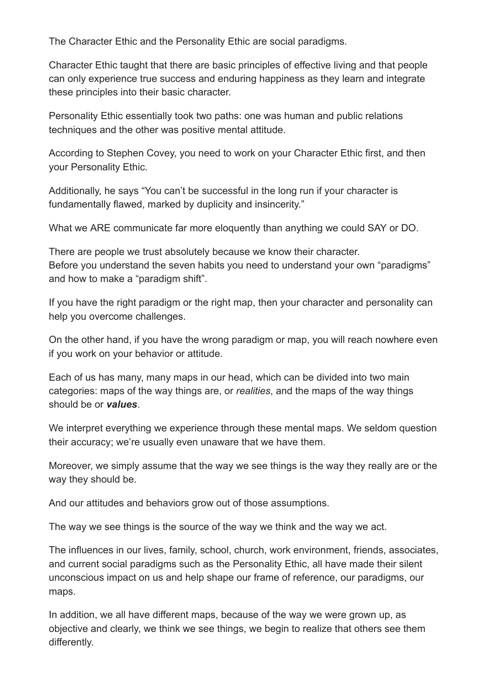The Character Ethic and the Personality Ethic are social paradigms.

Character Ethic taught that there are basic principles of effective living and that people can only experience true success and enduring happiness as they learn and integrate these principles into their basic character.

Personality Ethic essentially took two paths: one was human and public relations techniques and the other was positive mental attitude.

According to Stephen Covey, you need to work on your Character Ethic first, and then your Personality Ethic.

Additionally, he says "You can't be successful in the long run if your character is fundamentally flawed, marked by duplicity and insincerity."

What we ARE communicate far more eloquently than anything we could SAY or DO.

There are people we trust absolutely because we know their character. Before you understand the seven habits you need to understand your own "paradigms" and how to make a "paradigm shift".

If you have the right paradigm or the right map, then your character and personality can help you overcome challenges.

On the other hand, if you have the wrong paradigm or map, you will reach nowhere even if you work on your behavior or attitude.

Each of us has many, many maps in our head, which can be divided into two main categories: maps of the way things are, or *realities*, and the maps of the way things should be or *values*.

We interpret everything we experience through these mental maps. We seldom question their accuracy; we're usually even unaware that we have them.

Moreover, we simply assume that the way we see things is the way they really are or the way they should be.

And our attitudes and behaviors grow out of those assumptions.

The way we see things is the source of the way we think and the way we act.

The influences in our lives, family, school, church, work environment, friends, associates, and current social paradigms such as the Personality Ethic, all have made their silent unconscious impact on us and help shape our frame of reference, our paradigms, our maps.

In addition, we all have different maps, because of the way we were grown up, as objective and clearly, we think we see things, we begin to realize that others see them differently.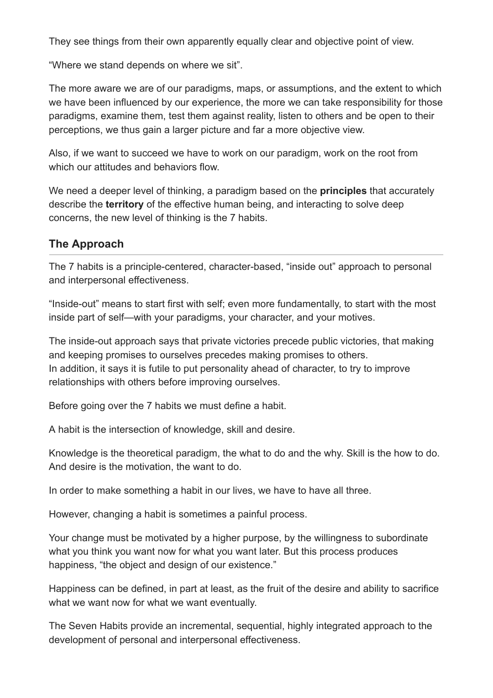They see things from their own apparently equally clear and objective point of view.

"Where we stand depends on where we sit".

The more aware we are of our paradigms, maps, or assumptions, and the extent to which we have been influenced by our experience, the more we can take responsibility for those paradigms, examine them, test them against reality, listen to others and be open to their perceptions, we thus gain a larger picture and far a more objective view.

Also, if we want to succeed we have to work on our paradigm, work on the root from which our attitudes and behaviors flow.

We need a deeper level of thinking, a paradigm based on the **principles** that accurately describe the **territory** of the effective human being, and interacting to solve deep concerns, the new level of thinking is the 7 habits.

# **The Approach**

The 7 habits is a principle-centered, character-based, "inside out" approach to personal and interpersonal effectiveness.

"Inside-out" means to start first with self; even more fundamentally, to start with the most inside part of self—with your paradigms, your character, and your motives.

The inside-out approach says that private victories precede public victories, that making and keeping promises to ourselves precedes making promises to others. In addition, it says it is futile to put personality ahead of character, to try to improve relationships with others before improving ourselves.

Before going over the 7 habits we must define a habit.

A habit is the intersection of knowledge, skill and desire.

Knowledge is the theoretical paradigm, the what to do and the why. Skill is the how to do. And desire is the motivation, the want to do.

In order to make something a habit in our lives, we have to have all three.

However, changing a habit is sometimes a painful process.

Your change must be motivated by a higher purpose, by the willingness to subordinate what you think you want now for what you want later. But this process produces happiness, "the object and design of our existence."

Happiness can be defined, in part at least, as the fruit of the desire and ability to sacrifice what we want now for what we want eventually.

The Seven Habits provide an incremental, sequential, highly integrated approach to the development of personal and interpersonal effectiveness.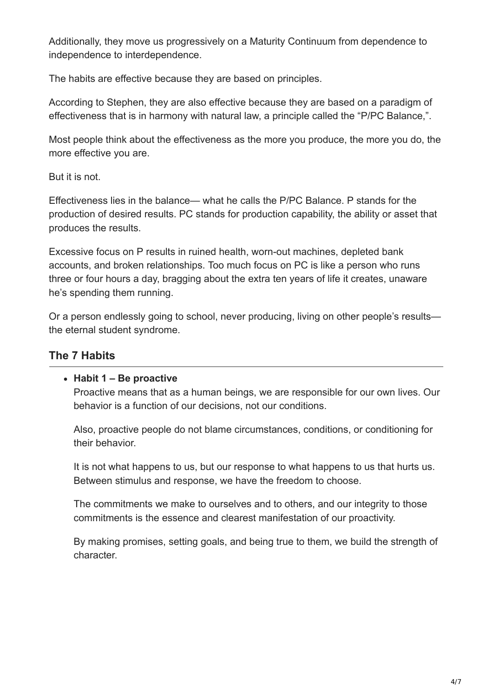Additionally, they move us progressively on a Maturity Continuum from dependence to independence to interdependence.

The habits are effective because they are based on principles.

According to Stephen, they are also effective because they are based on a paradigm of effectiveness that is in harmony with natural law, a principle called the "P/PC Balance,".

Most people think about the effectiveness as the more you produce, the more you do, the more effective you are.

But it is not.

Effectiveness lies in the balance— what he calls the P/PC Balance. P stands for the production of desired results. PC stands for production capability, the ability or asset that produces the results.

Excessive focus on P results in ruined health, worn-out machines, depleted bank accounts, and broken relationships. Too much focus on PC is like a person who runs three or four hours a day, bragging about the extra ten years of life it creates, unaware he's spending them running.

Or a person endlessly going to school, never producing, living on other people's results the eternal student syndrome.

# **The 7 Habits**

#### **Habit 1 – Be proactive**

Proactive means that as a human beings, we are responsible for our own lives. Our behavior is a function of our decisions, not our conditions.

Also, proactive people do not blame circumstances, conditions, or conditioning for their behavior.

It is not what happens to us, but our response to what happens to us that hurts us. Between stimulus and response, we have the freedom to choose.

The commitments we make to ourselves and to others, and our integrity to those commitments is the essence and clearest manifestation of our proactivity.

By making promises, setting goals, and being true to them, we build the strength of character.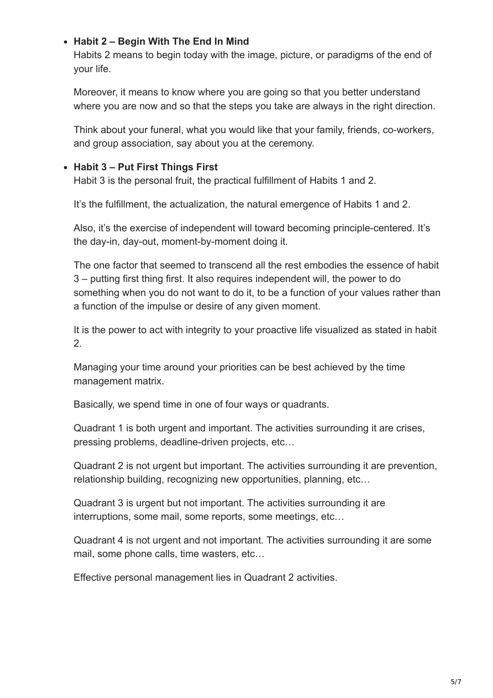# **Habit 2 – Begin With The End In Mind**

Habits 2 means to begin today with the image, picture, or paradigms of the end of your life.

Moreover, it means to know where you are going so that you better understand where you are now and so that the steps you take are always in the right direction.

Think about your funeral, what you would like that your family, friends, co-workers, and group association, say about you at the ceremony.

# **Habit 3 – Put First Things First**

Habit 3 is the personal fruit, the practical fulfillment of Habits 1 and 2.

It's the fulfillment, the actualization, the natural emergence of Habits 1 and 2.

Also, it's the exercise of independent will toward becoming principle-centered. It's the day-in, day-out, moment-by-moment doing it.

The one factor that seemed to transcend all the rest embodies the essence of habit 3 – putting first thing first. It also requires independent will, the power to do something when you do not want to do it, to be a function of your values rather than a function of the impulse or desire of any given moment.

It is the power to act with integrity to your proactive life visualized as stated in habit 2.

Managing your time around your priorities can be best achieved by the time management matrix.

Basically, we spend time in one of four ways or quadrants.

Quadrant 1 is both urgent and important. The activities surrounding it are crises, pressing problems, deadline-driven projects, etc…

Quadrant 2 is not urgent but important. The activities surrounding it are prevention, relationship building, recognizing new opportunities, planning, etc…

Quadrant 3 is urgent but not important. The activities surrounding it are interruptions, some mail, some reports, some meetings, etc…

Quadrant 4 is not urgent and not important. The activities surrounding it are some mail, some phone calls, time wasters, etc…

Effective personal management lies in Quadrant 2 activities.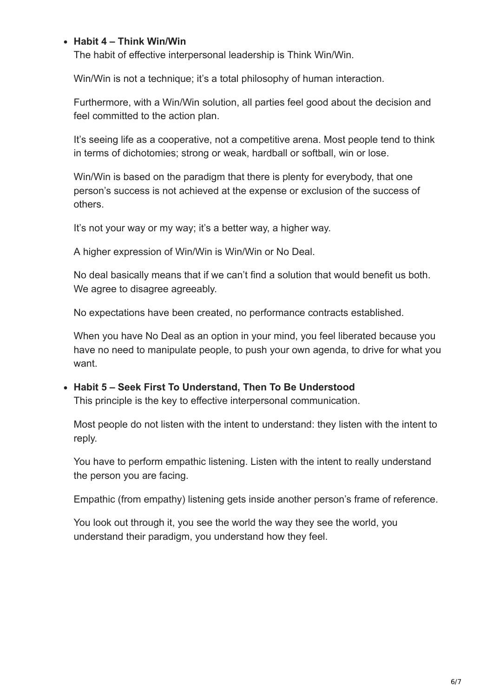#### **Habit 4 – Think Win/Win**

The habit of effective interpersonal leadership is Think Win/Win.

Win/Win is not a technique; it's a total philosophy of human interaction.

Furthermore, with a Win/Win solution, all parties feel good about the decision and feel committed to the action plan.

It's seeing life as a cooperative, not a competitive arena. Most people tend to think in terms of dichotomies; strong or weak, hardball or softball, win or lose.

Win/Win is based on the paradigm that there is plenty for everybody, that one person's success is not achieved at the expense or exclusion of the success of others.

It's not your way or my way; it's a better way, a higher way.

A higher expression of Win/Win is Win/Win or No Deal.

No deal basically means that if we can't find a solution that would benefit us both. We agree to disagree agreeably.

No expectations have been created, no performance contracts established.

When you have No Deal as an option in your mind, you feel liberated because you have no need to manipulate people, to push your own agenda, to drive for what you want.

#### **Habit 5 – Seek First To Understand, Then To Be Understood** This principle is the key to effective interpersonal communication.

Most people do not listen with the intent to understand: they listen with the intent to reply.

You have to perform empathic listening. Listen with the intent to really understand the person you are facing.

Empathic (from empathy) listening gets inside another person's frame of reference.

You look out through it, you see the world the way they see the world, you understand their paradigm, you understand how they feel.